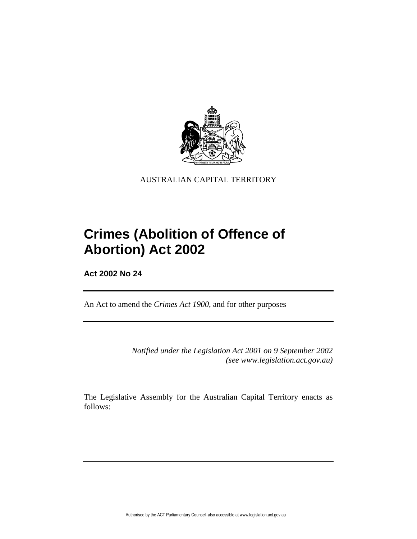

AUSTRALIAN CAPITAL TERRITORY

# **Crimes (Abolition of Offence of Abortion) Act 2002**

**Act 2002 No 24**

An Act to amend the *Crimes Act 1900*, and for other purposes

*Notified under the Legislation Act 2001 on 9 September 2002 (see www.legislation.act.gov.au)*

The Legislative Assembly for the Australian Capital Territory enacts as follows: